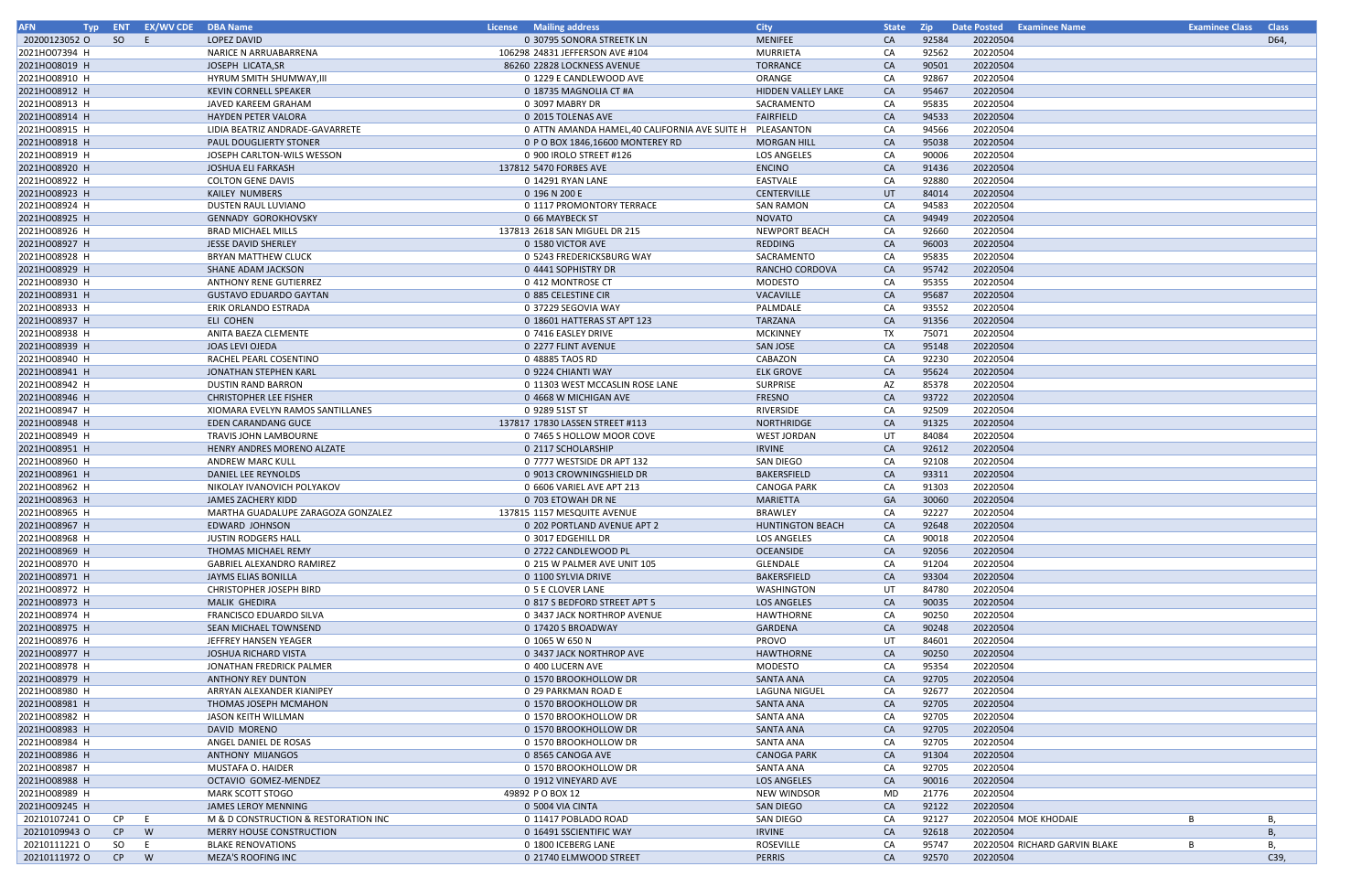| <b>AFN</b>    |    | Typ ENT EX/WV CDE DBA Name |                                      | License Mailing address                                  | <b>City</b>               | <b>State</b> | <b>Zip</b> | Date Posted Examinee Name     |   | <b>Examinee Class Class</b> |
|---------------|----|----------------------------|--------------------------------------|----------------------------------------------------------|---------------------------|--------------|------------|-------------------------------|---|-----------------------------|
| 20200123052 O | SO | - F                        | <b>LOPEZ DAVID</b>                   | 0 30795 SONORA STREETK LN                                | <b>MENIFEE</b>            | <b>CA</b>    | 92584      | 20220504                      |   | D64,                        |
| 2021HO07394 H |    |                            | NARICE N ARRUABARRENA                | 106298 24831 JEFFERSON AVE #104                          | MURRIETA                  | CA           | 92562      | 20220504                      |   |                             |
| 2021HO08019 H |    |                            | JOSEPH LICATA, SR                    | 86260 22828 LOCKNESS AVENUE                              | <b>TORRANCE</b>           | CA           | 90501      | 20220504                      |   |                             |
| 2021HO08910 H |    |                            | HYRUM SMITH SHUMWAY, III             | 0 1229 E CANDLEWOOD AVE                                  | ORANGE                    | CA           | 92867      | 20220504                      |   |                             |
| 2021HO08912 H |    |                            | <b>KEVIN CORNELL SPEAKER</b>         | 0 18735 MAGNOLIA CT #A                                   | <b>HIDDEN VALLEY LAKE</b> | CA           | 95467      | 20220504                      |   |                             |
| 2021HO08913 H |    |                            | JAVED KAREEM GRAHAM                  | 0 3097 MABRY DR                                          | SACRAMENTO                | CA           | 95835      | 20220504                      |   |                             |
| 2021HO08914 H |    |                            | HAYDEN PETER VALORA                  | 0 2015 TOLENAS AVE                                       | <b>FAIRFIELD</b>          | CA           | 94533      | 20220504                      |   |                             |
| 2021HO08915 H |    |                            | LIDIA BEATRIZ ANDRADE-GAVARRETE      | 0 ATTN AMANDA HAMEL,40 CALIFORNIA AVE SUITE H PLEASANTON |                           | CA           | 94566      | 20220504                      |   |                             |
| 2021HO08918 H |    |                            | PAUL DOUGLIERTY STONER               | 0 P O BOX 1846,16600 MONTEREY RD                         | <b>MORGAN HILL</b>        | <b>CA</b>    | 95038      | 20220504                      |   |                             |
| 2021HO08919 H |    |                            | JOSEPH CARLTON-WILS WESSON           | 0 900 IROLO STREET #126                                  | LOS ANGELES               | CA           | 90006      | 20220504                      |   |                             |
| 2021HO08920 H |    |                            | <b>JOSHUA ELI FARKASH</b>            | 137812 5470 FORBES AVE                                   | <b>ENCINO</b>             | CA           | 91436      | 20220504                      |   |                             |
| 2021HO08922 H |    |                            | <b>COLTON GENE DAVIS</b>             | 0 14291 RYAN LANE                                        | EASTVALE                  | CA           | 92880      | 20220504                      |   |                             |
| 2021HO08923 H |    |                            | KAILEY NUMBERS                       | 0 196 N 200 E                                            | <b>CENTERVILLE</b>        | UT           | 84014      | 20220504                      |   |                             |
| 2021HO08924 H |    |                            | DUSTEN RAUL LUVIANO                  | 0 1117 PROMONTORY TERRACE                                | <b>SAN RAMON</b>          | CA           | 94583      | 20220504                      |   |                             |
| 2021HO08925 H |    |                            | <b>GENNADY GOROKHOVSKY</b>           | 0 66 MAYBECK ST                                          | <b>NOVATO</b>             | CA           | 94949      | 20220504                      |   |                             |
| 2021HO08926 H |    |                            | <b>BRAD MICHAEL MILLS</b>            | 137813 2618 SAN MIGUEL DR 215                            | <b>NEWPORT BEACH</b>      | CA           | 92660      | 20220504                      |   |                             |
| 2021HO08927 H |    |                            | <b>JESSE DAVID SHERLEY</b>           | 0 1580 VICTOR AVE                                        | REDDING                   | CA           | 96003      | 20220504                      |   |                             |
| 2021HO08928 H |    |                            | <b>BRYAN MATTHEW CLUCK</b>           | 0 5243 FREDERICKSBURG WAY                                | SACRAMENTO                | CA           | 95835      | 20220504                      |   |                             |
| 2021HO08929 H |    |                            | SHANE ADAM JACKSON                   | 0 4441 SOPHISTRY DR                                      | RANCHO CORDOVA            | <b>CA</b>    | 95742      | 20220504                      |   |                             |
| 2021HO08930 H |    |                            | <b>ANTHONY RENE GUTIERREZ</b>        | 0 412 MONTROSE CT                                        | MODESTO                   | CA           | 95355      | 20220504                      |   |                             |
| 2021HO08931 H |    |                            | <b>GUSTAVO EDUARDO GAYTAN</b>        | 0 885 CELESTINE CIR                                      | VACAVILLE                 | CA           | 95687      | 20220504                      |   |                             |
| 2021HO08933 H |    |                            | ERIK ORLANDO ESTRADA                 | 0 37229 SEGOVIA WAY                                      | PALMDALE                  | CA           | 93552      | 20220504                      |   |                             |
| 2021HO08937 H |    |                            | ELI COHEN                            | 0 18601 HATTERAS ST APT 123                              | TARZANA                   | CA           | 91356      | 20220504                      |   |                             |
| 2021HO08938 H |    |                            | ANITA BAEZA CLEMENTE                 | 0 7416 EASLEY DRIVE                                      | <b>MCKINNEY</b>           | <b>TX</b>    | 75071      | 20220504                      |   |                             |
| 2021HO08939 H |    |                            | JOAS LEVI OJEDA                      | 0 2277 FLINT AVENUE                                      | SAN JOSE                  | CA           | 95148      | 20220504                      |   |                             |
| 2021HO08940 H |    |                            | RACHEL PEARL COSENTINO               | 0 48885 TAOS RD                                          | CABAZON                   | CA           | 92230      | 20220504                      |   |                             |
| 2021HO08941 H |    |                            | JONATHAN STEPHEN KARL                | 0 9224 CHIANTI WAY                                       | <b>ELK GROVE</b>          | CA           | 95624      | 20220504                      |   |                             |
| 2021HO08942 H |    |                            | <b>DUSTIN RAND BARRON</b>            | 0 11303 WEST MCCASLIN ROSE LANE                          | <b>SURPRISE</b>           | AZ           | 85378      | 20220504                      |   |                             |
| 2021HO08946 H |    |                            | <b>CHRISTOPHER LEE FISHER</b>        | 0 4668 W MICHIGAN AVE                                    | <b>FRESNO</b>             | CA           | 93722      | 20220504                      |   |                             |
| 2021HO08947 H |    |                            | XIOMARA EVELYN RAMOS SANTILLANES     | 0 9289 51ST ST                                           | RIVERSIDE                 | CA           | 92509      | 20220504                      |   |                             |
| 2021HO08948 H |    |                            | <b>EDEN CARANDANG GUCE</b>           | 137817 17830 LASSEN STREET #113                          | NORTHRIDGE                | CA           | 91325      | 20220504                      |   |                             |
| 2021HO08949 H |    |                            | TRAVIS JOHN LAMBOURNE                | 0 7465 S HOLLOW MOOR COVE                                | <b>WEST JORDAN</b>        | UT           | 84084      | 20220504                      |   |                             |
| 2021HO08951 H |    |                            | HENRY ANDRES MORENO ALZATE           | 0 2117 SCHOLARSHIP                                       | <b>IRVINE</b>             | CA           | 92612      | 20220504                      |   |                             |
| 2021HO08960 H |    |                            | <b>ANDREW MARC KULL</b>              | 0 7777 WESTSIDE DR APT 132                               | SAN DIEGO                 | CA           | 92108      | 20220504                      |   |                             |
| 2021HO08961 H |    |                            | DANIEL LEE REYNOLDS                  | 0 9013 CROWNINGSHIELD DR                                 | BAKERSFIELD               | CA           | 93311      | 20220504                      |   |                             |
| 2021HO08962 H |    |                            | NIKOLAY IVANOVICH POLYAKOV           | 0 6606 VARIEL AVE APT 213                                | CANOGA PARK               | CA           | 91303      | 20220504                      |   |                             |
| 2021HO08963 H |    |                            | <b>JAMES ZACHERY KIDD</b>            | 0 703 ETOWAH DR NE                                       | MARIETTA                  | GA           | 30060      | 20220504                      |   |                             |
| 2021HO08965 H |    |                            | MARTHA GUADALUPE ZARAGOZA GONZALEZ   | 137815 1157 MESQUITE AVENUE                              | <b>BRAWLEY</b>            | CA           | 92227      | 20220504                      |   |                             |
| 2021HO08967 H |    |                            | EDWARD JOHNSON                       | 0 202 PORTLAND AVENUE APT 2                              | <b>HUNTINGTON BEACH</b>   | <b>CA</b>    | 92648      | 20220504                      |   |                             |
| 2021HO08968 H |    |                            | <b>JUSTIN RODGERS HALL</b>           | 0 3017 EDGEHILL DR                                       | LOS ANGELES               | CA           | 90018      | 20220504                      |   |                             |
| 2021HO08969 H |    |                            | THOMAS MICHAEL REMY                  | 0 2722 CANDLEWOOD PL                                     | OCEANSIDE                 | <b>CA</b>    | 92056      | 20220504                      |   |                             |
| 2021HO08970 H |    |                            | <b>GABRIEL ALEXANDRO RAMIREZ</b>     | 0 215 W PALMER AVE UNIT 105                              | GLENDALE                  | CA           | 91204      | 20220504                      |   |                             |
| 2021HO08971 H |    |                            | JAYMS ELIAS BONILLA                  | 0 1100 SYLVIA DRIVE                                      | BAKERSFIELD               | CA           | 93304      | 20220504                      |   |                             |
| 2021HO08972 H |    |                            | <b>CHRISTOPHER JOSEPH BIRD</b>       | 0 5 E CLOVER LANE                                        | WASHINGTON                | UT           | 84780      | 20220504                      |   |                             |
| 2021HO08973 H |    |                            | MALIK GHEDIRA                        | 0 817 S BEDFORD STREET APT 5                             | <b>LOS ANGELES</b>        | CA           | 90035      | 20220504                      |   |                             |
| 2021HO08974 H |    |                            | FRANCISCO EDUARDO SILVA              | 0 3437 JACK NORTHROP AVENUE                              | HAWTHORNE                 | CA           | 90250      | 20220504                      |   |                             |
| 2021HO08975 H |    |                            | SEAN MICHAEL TOWNSEND                | 0 17420 S BROADWAY                                       | GARDENA                   | <b>CA</b>    | 90248      | 20220504                      |   |                             |
| 2021HO08976 H |    |                            | JEFFREY HANSEN YEAGER                | 0 1065 W 650 N                                           | <b>PROVO</b>              | UT           | 84601      | 20220504                      |   |                             |
| 2021HO08977 H |    |                            | <b>JOSHUA RICHARD VISTA</b>          | 0 3437 JACK NORTHROP AVE                                 | <b>HAWTHORNE</b>          | <b>CA</b>    | 90250      | 20220504                      |   |                             |
| 2021HO08978 H |    |                            | JONATHAN FREDRICK PALMER             | 0 400 LUCERN AVE                                         | MODESTO                   | CA           | 95354      | 20220504                      |   |                             |
| 2021HO08979 H |    |                            | ANTHONY REY DUNTON                   | 0 1570 BROOKHOLLOW DR                                    | SANTA ANA                 | <b>CA</b>    | 92705      | 20220504                      |   |                             |
| 2021HO08980 H |    |                            | ARRYAN ALEXANDER KIANIPEY            | 0 29 PARKMAN ROAD E                                      | LAGUNA NIGUEL             | CA           | 92677      | 20220504                      |   |                             |
| 2021HO08981 H |    |                            | THOMAS JOSEPH MCMAHON                | 0 1570 BROOKHOLLOW DR                                    | <b>SANTA ANA</b>          | CA           | 92705      | 20220504                      |   |                             |
| 2021HO08982 H |    |                            | JASON KEITH WILLMAN                  | 0 1570 BROOKHOLLOW DR                                    | SANTA ANA                 | CA           | 92705      | 20220504                      |   |                             |
| 2021HO08983 H |    |                            | DAVID MORENO                         | 0 1570 BROOKHOLLOW DR                                    | <b>SANTA ANA</b>          | CA           | 92705      | 20220504                      |   |                             |
| 2021HO08984 H |    |                            | ANGEL DANIEL DE ROSAS                | 0 1570 BROOKHOLLOW DR                                    | SANTA ANA                 | CA           | 92705      | 20220504                      |   |                             |
| 2021HO08986 H |    |                            | <b>ANTHONY MIJANGOS</b>              | 0 8565 CANOGA AVE                                        | <b>CANOGA PARK</b>        | CA           | 91304      | 20220504                      |   |                             |
| 2021HO08987 H |    |                            | MUSTAFA O. HAIDER                    | 0 1570 BROOKHOLLOW DR                                    | SANTA ANA                 | CA           | 92705      | 20220504                      |   |                             |
| 2021HO08988 H |    |                            | OCTAVIO GOMEZ-MENDEZ                 | 0 1912 VINEYARD AVE                                      | <b>LOS ANGELES</b>        | <b>CA</b>    | 90016      | 20220504                      |   |                             |
| 2021HO08989 H |    |                            | <b>MARK SCOTT STOGO</b>              | 49892 P O BOX 12                                         | <b>NEW WINDSOR</b>        | MD           | 21776      | 20220504                      |   |                             |
| 2021HO09245 H |    |                            | JAMES LEROY MENNING                  | 0 5004 VIA CINTA                                         | SAN DIEGO                 | CA           | 92122      | 20220504                      |   |                             |
| 20210107241 O | CP | E                          | M & D CONSTRUCTION & RESTORATION INC | 0 11417 POBLADO ROAD                                     | SAN DIEGO                 | CA           | 92127      | 20220504 MOE KHODAIE          | B | В,                          |
| 20210109943 O | CP | W                          | MERRY HOUSE CONSTRUCTION             | 0 16491 SSCIENTIFIC WAY                                  | <b>IRVINE</b>             | CA           | 92618      | 20220504                      |   | В,                          |
| 20210111221 O | SO | - E                        | <b>BLAKE RENOVATIONS</b>             | 0 1800 ICEBERG LANE                                      | ROSEVILLE                 | CA           | 95747      | 20220504 RICHARD GARVIN BLAKE | B | В,                          |
| 20210111972 O | CP | W                          | MEZA'S ROOFING INC                   | 0 21740 ELMWOOD STREET                                   | PERRIS                    | CA           | 92570      | 20220504                      |   | C39,                        |
|               |    |                            |                                      |                                                          |                           |              |            |                               |   |                             |

| <b>Examinee Name</b>   | <b>Examinee Class</b> | <b>Class</b> |
|------------------------|-----------------------|--------------|
| 4                      |                       | D64,         |
| 4                      |                       |              |
| 4                      |                       |              |
| 4                      |                       |              |
| 4                      |                       |              |
| 4                      |                       |              |
| 4                      |                       |              |
| 4                      |                       |              |
| 4                      |                       |              |
| 4                      |                       |              |
| 4<br>4                 |                       |              |
| 4                      |                       |              |
| 4                      |                       |              |
| 4                      |                       |              |
| 4                      |                       |              |
| 4                      |                       |              |
| 4                      |                       |              |
| 4                      |                       |              |
| 4                      |                       |              |
| 4                      |                       |              |
| 4                      |                       |              |
| 4                      |                       |              |
| 4                      |                       |              |
| 4<br>4                 |                       |              |
| 4                      |                       |              |
| 4                      |                       |              |
| 4                      |                       |              |
| 4                      |                       |              |
| 4                      |                       |              |
| 4                      |                       |              |
| 4                      |                       |              |
| 4                      |                       |              |
| 4                      |                       |              |
| 4                      |                       |              |
| 4                      |                       |              |
| 4                      |                       |              |
| 4                      |                       |              |
| 4<br>4                 |                       |              |
| 4                      |                       |              |
| 4                      |                       |              |
| 4                      |                       |              |
| 4                      |                       |              |
| 4                      |                       |              |
| 4                      |                       |              |
| 4                      |                       |              |
| 4                      |                       |              |
| 4                      |                       |              |
| 4                      |                       |              |
| 4                      |                       |              |
| 4                      |                       |              |
| 4<br>4                 |                       |              |
| 4                      |                       |              |
| 4                      |                       |              |
| 4                      |                       |              |
| 4                      |                       |              |
| 4                      |                       |              |
| 4                      |                       |              |
| 4 MOE KHODAIE          | В                     | В,           |
| 4                      |                       | В,           |
| 4 RICHARD GARVIN BLAKE | В                     | В,           |
| 4                      |                       | C39,         |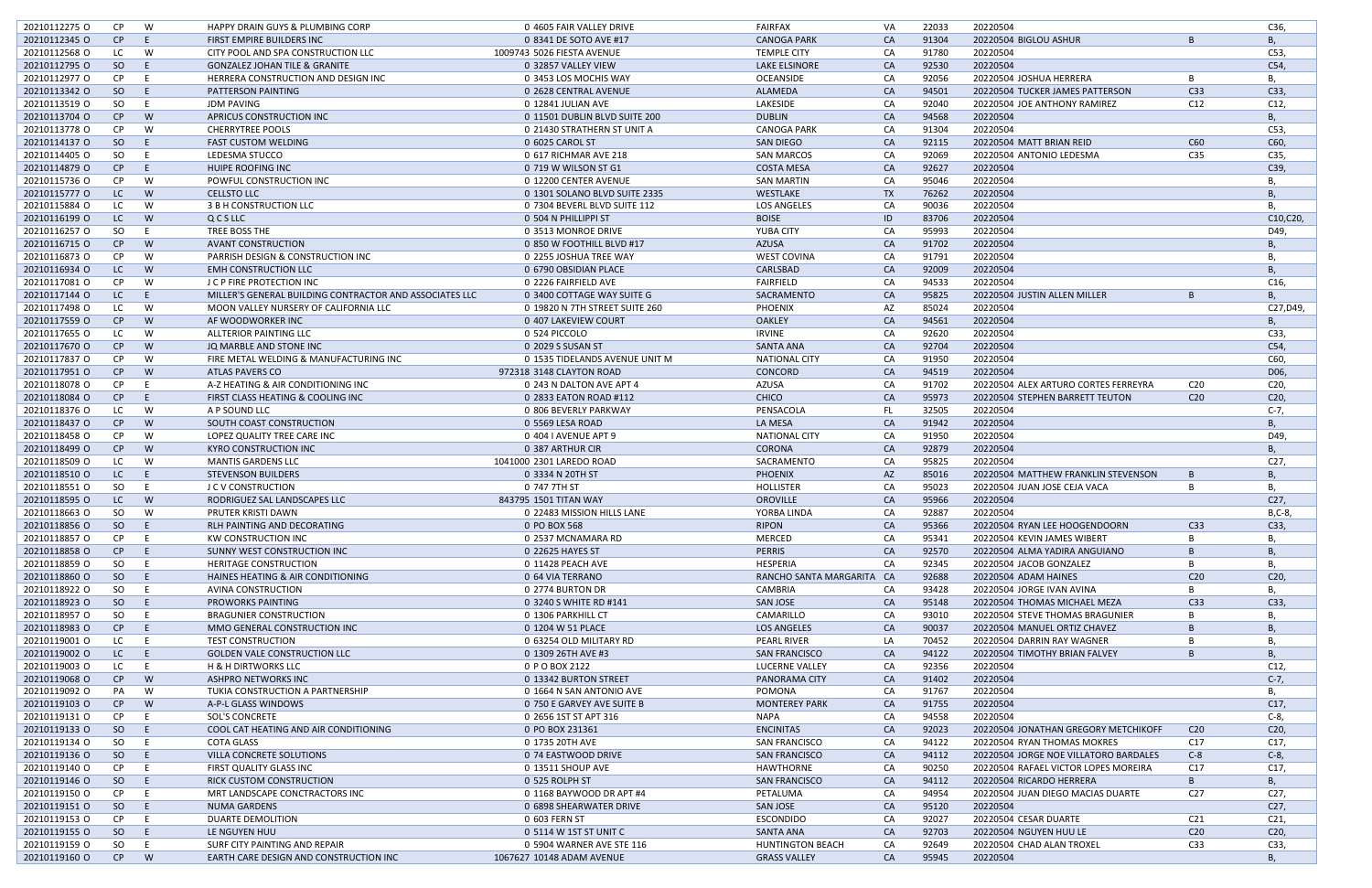| 20210112275 O | CP        | W        | HAPPY DRAIN GUYS & PLUMBING CORP                        | 0 4605 FAIR VALLEY DRIVE       | <b>FAIRFAX</b>            | VA        | 22033 | 20220504                              |                 | C36,            |
|---------------|-----------|----------|---------------------------------------------------------|--------------------------------|---------------------------|-----------|-------|---------------------------------------|-----------------|-----------------|
| 20210112345 O | CP        | E        | FIRST EMPIRE BUILDERS INC                               | 0 8341 DE SOTO AVE #17         | <b>CANOGA PARK</b>        | <b>CA</b> | 91304 | 20220504 BIGLOU ASHUR                 | B               | <b>B</b> ,      |
|               |           |          |                                                         |                                |                           |           |       |                                       |                 |                 |
| 20210112568 O | LC        | W        | CITY POOL AND SPA CONSTRUCTION LLC                      | 1009743 5026 FIESTA AVENUE     | <b>TEMPLE CITY</b>        | CA        | 91780 | 20220504                              |                 | C53,            |
| 20210112795 O | SO        | E        | <b>GONZALEZ JOHAN TILE &amp; GRANITE</b>                | 0 32857 VALLEY VIEW            | <b>LAKE ELSINORE</b>      | CA        | 92530 | 20220504                              |                 | C54,            |
| 20210112977 O | <b>CP</b> | E        | HERRERA CONSTRUCTION AND DESIGN INC                     | 0 3453 LOS MOCHIS WAY          | <b>OCEANSIDE</b>          | CA        | 92056 | 20220504 JOSHUA HERRERA               | B               | B,              |
| 20210113342 O | SO        | -E       | PATTERSON PAINTING                                      | 0 2628 CENTRAL AVENUE          | ALAMEDA                   | CA        | 94501 | 20220504 TUCKER JAMES PATTERSON       | C <sub>33</sub> | C33,            |
| 20210113519 O | SO        | - E      | <b>JDM PAVING</b>                                       | 0 12841 JULIAN AVE             | LAKESIDE                  | CA        | 92040 | 20220504 JOE ANTHONY RAMIREZ          | C12             | C12,            |
| 20210113704 O | CP        | W        | APRICUS CONSTRUCTION INC                                | 0 11501 DUBLIN BLVD SUITE 200  | <b>DUBLIN</b>             | CA        | 94568 | 20220504                              |                 | В,              |
| 20210113778 O | <b>CP</b> | W        | <b>CHERRYTREE POOLS</b>                                 | 0 21430 STRATHERN ST UNIT A    | <b>CANOGA PARK</b>        | CA        | 91304 | 20220504                              |                 | C53,            |
| 20210114137 O | SO        | -E       | <b>FAST CUSTOM WELDING</b>                              | 0 6025 CAROL ST                | <b>SAN DIEGO</b>          | CA        | 92115 | 20220504 MATT BRIAN REID              | C60             | C60,            |
| 20210114405 O | SO        | - E      | LEDESMA STUCCO                                          | 0 617 RICHMAR AVE 218          | <b>SAN MARCOS</b>         | CA        | 92069 | 20220504 ANTONIO LEDESMA              | C35             | C35,            |
| 20210114879 O | CP        | - E      | HUIPE ROOFING INC                                       | 0 719 W WILSON ST G1           | <b>COSTA MESA</b>         | CA        | 92627 | 20220504                              |                 | C39,            |
|               |           |          |                                                         |                                | <b>SAN MARTIN</b>         |           | 95046 |                                       |                 |                 |
| 20210115736 O | CP        | W        | POWFUL CONSTRUCTION INC                                 | 0 12200 CENTER AVENUE          |                           | CA        |       | 20220504                              |                 | В,              |
| 20210115777 0 | LC        | <b>W</b> | <b>CELLSTO LLC</b>                                      | 0 1301 SOLANO BLVD SUITE 2335  | WESTLAKE                  | <b>TX</b> | 76262 | 20220504                              |                 | В,              |
| 20210115884 O | LC        | W        | 3 B H CONSTRUCTION LLC                                  | 0 7304 BEVERL BLVD SUITE 112   | <b>LOS ANGELES</b>        | CA        | 90036 | 20220504                              |                 | В,              |
| 20210116199 O | LC        | <b>W</b> | QCSLLC                                                  | 0 504 N PHILLIPPI ST           | <b>BOISE</b>              | ID        | 83706 | 20220504                              |                 | C10, C20,       |
| 20210116257 O | SO        | E        | TREE BOSS THE                                           | 0 3513 MONROE DRIVE            | YUBA CITY                 | CA        | 95993 | 20220504                              |                 | D49,            |
| 20210116715 O | CP        | <b>W</b> | <b>AVANT CONSTRUCTION</b>                               | 0 850 W FOOTHILL BLVD #17      | <b>AZUSA</b>              | CA        | 91702 | 20220504                              |                 | В,              |
| 20210116873 O | <b>CP</b> | W        | PARRISH DESIGN & CONSTRUCTION INC                       | 0 2255 JOSHUA TREE WAY         | <b>WEST COVINA</b>        | CA        | 91791 | 20220504                              |                 | В,              |
| 20210116934 O | LC        | <b>W</b> | <b>EMH CONSTRUCTION LLC</b>                             | 0 6790 OBSIDIAN PLACE          | CARLSBAD                  | CA        | 92009 | 20220504                              |                 | B               |
| 20210117081 O | CP        | W        | J C P FIRE PROTECTION INC                               | 0 2226 FAIRFIELD AVE           | <b>FAIRFIELD</b>          | CA        | 94533 | 20220504                              |                 | C16,            |
| 20210117144 O | LC        | - E      | MILLER'S GENERAL BUILDING CONTRACTOR AND ASSOCIATES LLC | 0 3400 COTTAGE WAY SUITE G     | SACRAMENTO                | CA        | 95825 | 20220504 JUSTIN ALLEN MILLER          | -B              | <b>B</b> ,      |
|               |           |          |                                                         |                                |                           |           |       |                                       |                 |                 |
| 20210117498 O | LC        | W        | MOON VALLEY NURSERY OF CALIFORNIA LLC                   | 0 19820 N 7TH STREET SUITE 260 | <b>PHOENIX</b>            | AZ        | 85024 | 20220504                              |                 | C27, D49,       |
| 20210117559 O | CP        | W        | AF WOODWORKER INC                                       | 0 407 LAKEVIEW COURT           | <b>OAKLEY</b>             | CA        | 94561 | 20220504                              |                 | B               |
| 20210117655 O | LC        | W        | ALLTERIOR PAINTING LLC                                  | 0 524 PICCOLO                  | <b>IRVINE</b>             | CA        | 92620 | 20220504                              |                 | C33,            |
| 20210117670 O | CP        | W        | JQ MARBLE AND STONE INC                                 | 0 2029 S SUSAN ST              | <b>SANTA ANA</b>          | CA        | 92704 | 20220504                              |                 | C54,            |
| 20210117837 O | CP        | W        | FIRE METAL WELDING & MANUFACTURING INC                  | 0 1535 TIDELANDS AVENUE UNIT M | <b>NATIONAL CITY</b>      | CA        | 91950 | 20220504                              |                 | C60,            |
| 20210117951 0 | CP        | <b>W</b> | <b>ATLAS PAVERS CO</b>                                  | 972318 3148 CLAYTON ROAD       | CONCORD                   | CA        | 94519 | 20220504                              |                 | D06,            |
| 20210118078 O | CP        | E        | A-Z HEATING & AIR CONDITIONING INC                      | 0 243 N DALTON AVE APT 4       | <b>AZUSA</b>              | CA        | 91702 | 20220504 ALEX ARTURO CORTES FERREYRA  | C <sub>20</sub> | C20,            |
| 20210118084 O | CP        | E        | FIRST CLASS HEATING & COOLING INC                       | 0 2833 EATON ROAD #112         | <b>CHICO</b>              | CA        | 95973 | 20220504 STEPHEN BARRETT TEUTON       | C <sub>20</sub> | C20,            |
| 20210118376 O | LC        | W        | A P SOUND LLC                                           | 0 806 BEVERLY PARKWAY          | PENSACOLA                 | FL.       | 32505 | 20220504                              |                 | $C-7$ ,         |
| 20210118437 O | CP        | <b>W</b> | SOUTH COAST CONSTRUCTION                                | 0 5569 LESA ROAD               | LA MESA                   | CA        | 91942 | 20220504                              |                 |                 |
|               |           |          |                                                         |                                |                           |           |       |                                       |                 | B,              |
| 20210118458 O | <b>CP</b> | W        | LOPEZ QUALITY TREE CARE INC                             | 0 404 I AVENUE APT 9           | <b>NATIONAL CITY</b>      | CA        | 91950 | 20220504                              |                 | D49,            |
| 20210118499 O | CP        | <b>W</b> | <b>KYRO CONSTRUCTION INC</b>                            | 0 387 ARTHUR CIR               | <b>CORONA</b>             | CA        | 92879 | 20220504                              |                 | В,              |
| 20210118509 O | LC        | W        | <b>MANTIS GARDENS LLC</b>                               | 1041000 2301 LAREDO ROAD       | SACRAMENTO                | CA        | 95825 | 20220504                              |                 | C27,            |
| 20210118510 O | LC        | E.       | <b>STEVENSON BUILDERS</b>                               | 0 3334 N 20TH ST               | <b>PHOENIX</b>            | AZ        | 85016 | 20220504 MATTHEW FRANKLIN STEVENSON   | B               | B               |
| 20210118551 O | SO        | - E      | <b>J C V CONSTRUCTION</b>                               | 0 747 7TH ST                   | HOLLISTER                 | CA        | 95023 | 20220504 JUAN JOSE CEJA VACA          | B               | В,              |
| 20210118595 O | LC.       | <b>W</b> | RODRIGUEZ SAL LANDSCAPES LLC                            | 843795 1501 TITAN WAY          | <b>OROVILLE</b>           | CA        | 95966 | 20220504                              |                 | C <sub>27</sub> |
| 20210118663 O | SO.       | W        | PRUTER KRISTI DAWN                                      | 0 22483 MISSION HILLS LANE     | YORBA LINDA               | CA        | 92887 | 20220504                              |                 | $B, C-8$        |
| 20210118856 O | SO.       | E        | RLH PAINTING AND DECORATING                             | 0 PO BOX 568                   | <b>RIPON</b>              | CA        | 95366 | 20220504 RYAN LEE HOOGENDOORN         | C33             | C33,            |
| 20210118857 O | CP        | E.       | KW CONSTRUCTION INC                                     | 0 2537 MCNAMARA RD             | <b>MERCED</b>             | CA        | 95341 | 20220504 KEVIN JAMES WIBERT           |                 | В,              |
|               |           |          |                                                         | 0 22625 HAYES ST               | <b>PERRIS</b>             |           |       |                                       | B               |                 |
| 20210118858 O | CP        | - El     | SUNNY WEST CONSTRUCTION INC                             |                                |                           | CA        | 92570 | 20220504 ALMA YADIRA ANGUIANO         |                 | В,              |
| 20210118859 O | SO        | - E      | <b>HERITAGE CONSTRUCTION</b>                            | 0 11428 PEACH AVE              | <b>HESPERIA</b>           | CA        | 92345 | 20220504 JACOB GONZALEZ               | B               | В,              |
| 20210118860 O | SO        | -E.      | HAINES HEATING & AIR CONDITIONING                       | 0 64 VIA TERRANO               | RANCHO SANTA MARGARITA CA |           | 92688 | 20220504 ADAM HAINES                  | C <sub>20</sub> | C <sub>20</sub> |
| 20210118922 O | SO        | E        | AVINA CONSTRUCTION                                      | 0 2774 BURTON DR               | CAMBRIA                   | CA        | 93428 | 20220504 JORGE IVAN AVINA             |                 | В,              |
| 20210118923 O | SO        | -E.      | <b>PROWORKS PAINTING</b>                                | 0 3240 S WHITE RD #141         | <b>SAN JOSE</b>           | CA        | 95148 | 20220504 THOMAS MICHAEL MEZA          | C33             | C33,            |
| 20210118957 O | SO        | - E      | <b>BRAGUNIER CONSTRUCTION</b>                           | 0 1306 PARKHILL CT             | CAMARILLO                 | CA        | 93010 | 20220504 STEVE THOMAS BRAGUNIER       | B               | В,              |
| 20210118983 O | CP        | E        | MMO GENERAL CONSTRUCTION INC                            | 0 1204 W 51 PLACE              | <b>LOS ANGELES</b>        | CA        | 90037 | 20220504 MANUEL ORTIZ CHAVEZ          | B               | B               |
| 20210119001 O | LC        | E.       | <b>TEST CONSTRUCTION</b>                                | 0 63254 OLD MILITARY RD        | <b>PEARL RIVER</b>        | LA        | 70452 | 20220504 DARRIN RAY WAGNER            | B               | В,              |
| 20210119002 O | LC        | E        | <b>GOLDEN VALE CONSTRUCTION LLC</b>                     | 0 1309 26TH AVE #3             | <b>SAN FRANCISCO</b>      | CA        | 94122 | 20220504 TIMOTHY BRIAN FALVEY         | B               | В,              |
| 20210119003 O |           | E        | <b>H &amp; H DIRTWORKS LLC</b>                          | 0 P O BOX 2122                 | LUCERNE VALLEY            |           | 92356 | 20220504                              |                 | C12,            |
|               | LC        |          |                                                         |                                |                           | CA        |       |                                       |                 |                 |
| 20210119068 O | CP        | <b>W</b> | ASHPRO NETWORKS INC                                     | 0 13342 BURTON STREET          | PANORAMA CITY             | CA        | 91402 | 20220504                              |                 | $C-7$ ,         |
| 20210119092 O | PA        | - W      | TUKIA CONSTRUCTION A PARTNERSHIP                        | 0 1664 N SAN ANTONIO AVE       | <b>POMONA</b>             | CA        | 91767 | 20220504                              |                 | В,              |
| 20210119103 O | CP        | W        | A-P-L GLASS WINDOWS                                     | 0 750 E GARVEY AVE SUITE B     | <b>MONTEREY PARK</b>      | CA        | 91755 | 20220504                              |                 | C17,            |
| 20210119131 0 | CP        | E        | <b>SOL'S CONCRETE</b>                                   | 0 2656 1ST ST APT 316          | <b>NAPA</b>               | CA        | 94558 | 20220504                              |                 | $C-8$ ,         |
| 20210119133 O | SO        | -E.      | COOL CAT HEATING AND AIR CONDITIONING                   | 0 PO BOX 231361                | <b>ENCINITAS</b>          | CA        | 92023 | 20220504 JONATHAN GREGORY METCHIKOFF  | C <sub>20</sub> | C20,            |
| 20210119134 O | SO        | - E      | <b>COTA GLASS</b>                                       | 0 1735 20TH AVE                | <b>SAN FRANCISCO</b>      | CA        | 94122 | 20220504 RYAN THOMAS MOKRES           | C17             | C17,            |
| 20210119136 O | SO        | -E.      | VILLA CONCRETE SOLUTIONS                                | 0 74 EASTWOOD DRIVE            | <b>SAN FRANCISCO</b>      | CA        | 94112 | 20220504 JORGE NOE VILLATORO BARDALES | $C-8$           | $C-8$ ,         |
| 20210119140 O | CP        | E        | FIRST QUALITY GLASS INC                                 | 0 13511 SHOUP AVE              | HAWTHORNE                 | CA        | 90250 | 20220504 RAFAEL VICTOR LOPES MOREIRA  | C17             | C17,            |
| 20210119146 O | SO        | E        | <b>RICK CUSTOM CONSTRUCTION</b>                         | 0 525 ROLPH ST                 | <b>SAN FRANCISCO</b>      | CA        | 94112 | 20220504 RICARDO HERRERA              | B               | В,              |
| 20210119150 O | CP        | E        | MRT LANDSCAPE CONCTRACTORS INC                          | 0 1168 BAYWOOD DR APT #4       | PETALUMA                  | CA        | 94954 | 20220504 JUAN DIEGO MACIAS DUARTE     | C <sub>27</sub> | C27,            |
|               |           |          |                                                         |                                |                           |           |       |                                       |                 |                 |
| 20210119151 O | SO        | $-E$     | <b>NUMA GARDENS</b>                                     | 0 6898 SHEARWATER DRIVE        | <b>SAN JOSE</b>           | CA        | 95120 | 20220504                              |                 | C27,            |
| 20210119153 O | CP.       | E        | DUARTE DEMOLITION                                       | 0 603 FERN ST                  | <b>ESCONDIDO</b>          | CA        | 92027 | 20220504 CESAR DUARTE                 | C <sub>21</sub> | C <sub>21</sub> |
| 20210119155 O | SO        | -E.      | LE NGUYEN HUU                                           | 0 5114 W 1ST ST UNIT C         | <b>SANTA ANA</b>          | CA        | 92703 | 20220504 NGUYEN HUU LE                | C <sub>20</sub> | C20,            |
| 20210119159 O | SO        | E.       | SURF CITY PAINTING AND REPAIR                           | 0 5904 WARNER AVE STE 116      | <b>HUNTINGTON BEACH</b>   | CA        | 92649 | 20220504 CHAD ALAN TROXEL             | C33             | C33,            |
| 20210119160 O | CP        | <b>W</b> | EARTH CARE DESIGN AND CONSTRUCTION INC                  | 1067627 10148 ADAM AVENUE      | <b>GRASS VALLEY</b>       | CA        | 95945 | 20220504                              |                 | <b>B</b> ,      |